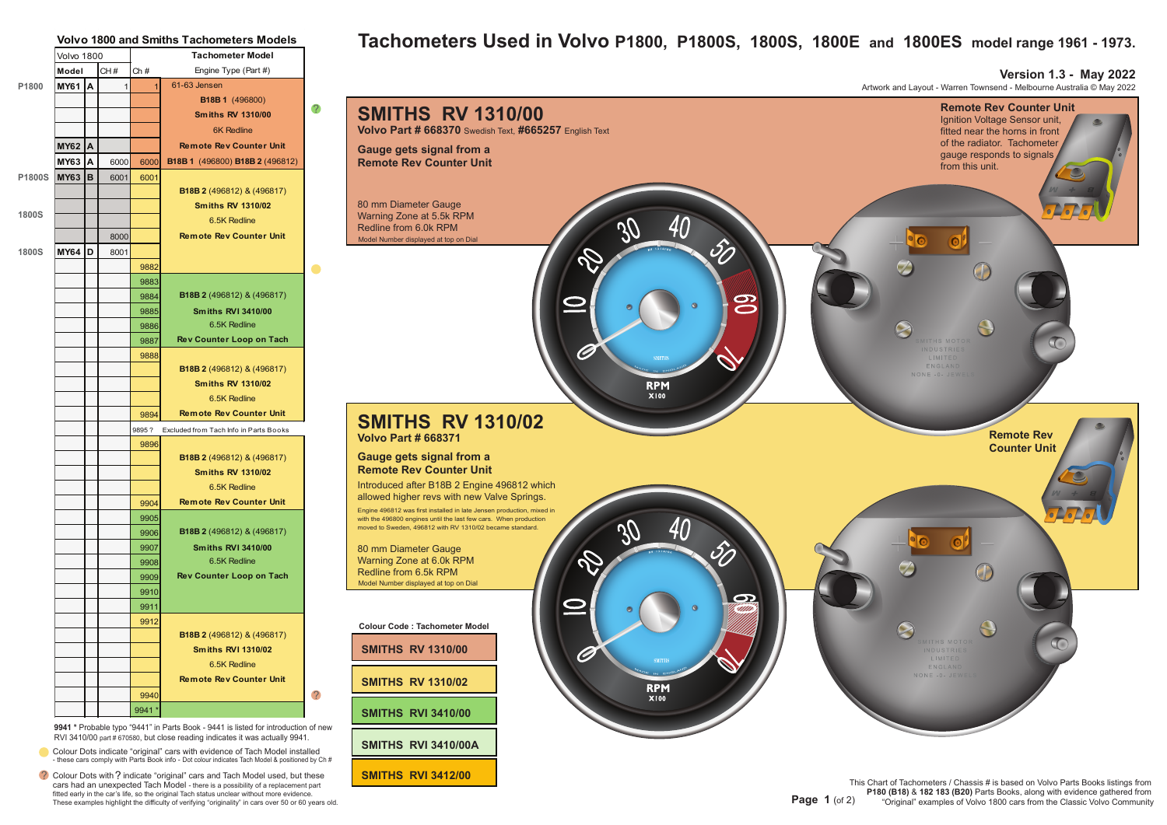|              |             |   |              | <b>Volvo 1800 and Smiths Tachometers Models</b> |                                        |                |
|--------------|-------------|---|--------------|-------------------------------------------------|----------------------------------------|----------------|
|              | Volvo 1800  |   |              |                                                 | <b>Tachometer Model</b>                |                |
|              | Model       |   | CH#          | Ch#                                             | Engine Type (Part #)                   |                |
| P1800        | MY61        | A | $\mathbf{1}$ | $\vert$                                         | 61-63 Jensen                           |                |
|              |             |   |              |                                                 | B18B 1 (496800)                        |                |
|              |             |   |              |                                                 | Smiths RV 1310/00                      | 2              |
|              |             |   |              |                                                 | <b>6K Redline</b>                      |                |
|              | <b>MY62</b> | A |              |                                                 | <b>Remote Rev Counter Unit</b>         |                |
|              | MY63        | Α | 6000         | 6000                                            | B18B 1 (496800) B18B 2 (496812)        |                |
| P1800S       | <b>MY63</b> | B | 6001         | 6001                                            |                                        |                |
|              |             |   |              |                                                 | B18B 2 (496812) & (496817)             |                |
|              |             |   |              |                                                 | <b>Smiths RV 1310/02</b>               |                |
| <b>1800S</b> |             |   |              |                                                 | 6.5K Redline                           |                |
|              |             |   | 8000         |                                                 | <b>Remote Rev Counter Unit</b>         |                |
| <b>1800S</b> | <b>MY64</b> | D | 8001         |                                                 |                                        |                |
|              |             |   |              | 9882                                            |                                        |                |
|              |             |   |              | 9883                                            |                                        |                |
|              |             |   |              | 9884                                            | B18B 2 (496812) & (496817)             |                |
|              |             |   |              | 9885                                            | <b>Smiths RVI 3410/00</b>              |                |
|              |             |   |              | 9886                                            | 6.5K Redline                           |                |
|              |             |   |              | 9887                                            | Rev Counter Loop on Tach               |                |
|              |             |   |              | 9888                                            |                                        |                |
|              |             |   |              |                                                 | <b>B18B 2</b> (496812) & (496817)      |                |
|              |             |   |              |                                                 | <b>Smiths RV 1310/02</b>               |                |
|              |             |   |              |                                                 | 6.5K Redline                           |                |
|              |             |   |              | 9894                                            | <b>Remote Rev Counter Unit</b>         |                |
|              |             |   |              | 9895?                                           | Excluded from Tach Info in Parts Books |                |
|              |             |   |              | 9896                                            |                                        |                |
|              |             |   |              |                                                 | B18B 2 (496812) & (496817)             |                |
|              |             |   |              |                                                 | <b>Smiths RV 1310/02</b>               |                |
|              |             |   |              |                                                 | 6.5K Redline                           |                |
|              |             |   |              | 9904                                            | <b>Remote Rev Counter Unit</b>         |                |
|              |             |   |              | 9905                                            |                                        |                |
|              |             |   |              | 9906                                            | B18B 2 (496812) & (496817)             |                |
|              |             |   |              | 9907                                            | <b>Smiths RVI 3410/00</b>              |                |
|              |             |   |              | 9908                                            | 6.5K Redline                           |                |
|              |             |   |              | 9909                                            | Rev Counter Loop on Tach               |                |
|              |             |   |              | 9910                                            |                                        |                |
|              |             |   |              | 9911                                            |                                        |                |
|              |             |   |              | 9912                                            |                                        |                |
|              |             |   |              |                                                 | B18B 2 (496812) & (496817)             |                |
|              |             |   |              |                                                 | <b>Smiths RVI 1310/02</b>              |                |
|              |             |   |              |                                                 | 6.5K Redline                           |                |
|              |             |   |              |                                                 | <b>Remote Rev Counter Unit</b>         |                |
|              |             |   |              | 9940                                            |                                        | $\overline{?}$ |
|              |             |   |              | 9941 *                                          |                                        |                |

**9941 \*** Probable typo "9441" in Parts Book - 9441 is listed for introduction of new RVI 3410/00 part # 670580, but close reading indicates it was actually 9941.

- Colour Dots indicate "original" cars with evidence of Tach Model installed - these cars comply with Parts Book info - Dot colour indicates Tach Model & positioned by Ch #
- ? Colour Dots with ? indicate "original" cars and Tach Model used, but these cars had an unexpected Tach Model - there is a possibility of a replacement part fitted early in the car's life, so the original Tach status unclear without more evidence. These examples highlight the difficulty of verifying "originality" in cars over 50 or 60 years old.

## **Tachometers Used in Volvo P1800, P1800S, 1800S, 1800E and 1800ES model range 1961 - 1973.**

**Version 1.3 - May 2022**

Artwork and Layout - Warren Townsend - Melbourne Australia © May 2022